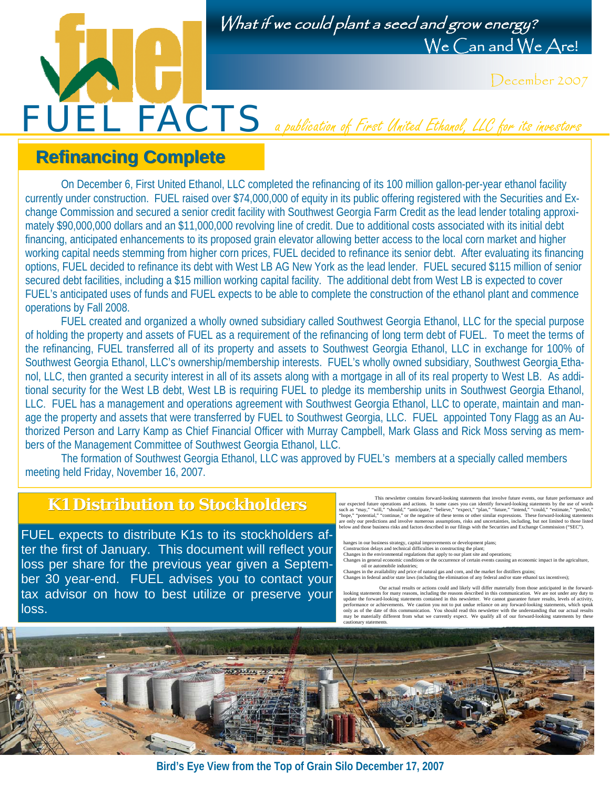

December 2007

## **Refinancing Complete Refinancing Complete**

 On December 6, First United Ethanol, LLC completed the refinancing of its 100 million gallon-per-year ethanol facility currently under construction. FUEL raised over \$74,000,000 of equity in its public offering registered with the Securities and Exchange Commission and secured a senior credit facility with Southwest Georgia Farm Credit as the lead lender totaling approximately \$90,000,000 dollars and an \$11,000,000 revolving line of credit. Due to additional costs associated with its initial debt financing, anticipated enhancements to its proposed grain elevator allowing better access to the local corn market and higher working capital needs stemming from higher corn prices, FUEL decided to refinance its senior debt. After evaluating its financing options, FUEL decided to refinance its debt with West LB AG New York as the lead lender. FUEL secured \$115 million of senior secured debt facilities, including a \$15 million working capital facility. The additional debt from West LB is expected to cover FUEL's anticipated uses of funds and FUEL expects to be able to complete the construction of the ethanol plant and commence operations by Fall 2008.

FUEL FACTS a publication of First United Ethanol, LLC for its investors

FUEL created and organized a wholly owned subsidiary called Southwest Georgia Ethanol, LLC for the special purpose of holding the property and assets of FUEL as a requirement of the refinancing of long term debt of FUEL. To meet the terms of the refinancing, FUEL transferred all of its property and assets to Southwest Georgia Ethanol, LLC in exchange for 100% of Southwest Georgia Ethanol, LLC's ownership/membership interests. FUEL's wholly owned subsidiary, Southwest Georgia Ethanol, LLC, then granted a security interest in all of its assets along with a mortgage in all of its real property to West LB. As additional security for the West LB debt, West LB is requiring FUEL to pledge its membership units in Southwest Georgia Ethanol, LLC. FUEL has a management and operations agreement with Southwest Georgia Ethanol, LLC to operate, maintain and manage the property and assets that were transferred by FUEL to Southwest Georgia, LLC. FUEL appointed Tony Flagg as an Authorized Person and Larry Kamp as Chief Financial Officer with Murray Campbell, Mark Glass and Rick Moss serving as members of the Management Committee of Southwest Georgia Ethanol, LLC.

 The formation of Southwest Georgia Ethanol, LLC was approved by FUEL's members at a specially called members meeting held Friday, November 16, 2007.

#### **K1 Distribution to Stockholders to Stockholders**

FUEL expects to distribute K1s to its stockholders after the first of January. This document will reflect your loss per share for the previous year given a September 30 year-end. FUEL advises you to contact your tax advisor on how to best utilize or preserve your loss.

This newsletter contains forward-looking statements that involve future events, our future performance and<br>our expected future operations and actions. In some cases you can identify forward-looking statements by the use of are only our predictions and involve numerous assumptions, risks and uncertainties, including, but not limited to those listed<br>below and those business risks and factors described in our filings with the Securities and Exc

hanges in our business strategy, capital improvements or development plans;<br>Construction delays and technical difficulties in constructing the plant;<br>Changes in the environmental regulations that apply to our plant site an

oil or automobile industries;<br>Changes in the availability and price of natural gas and corn, and the market for distillers grains;<br>Changes in federal and/or state laws (including the elimination of any federal and/or state

Our actual results or actions could and likely will differ materially from those anticipated in the for looking statements for many reasons, including the reasons described in this communication. We are not under any duty to update the forward-looking statements contained in this newsletter. We cannot guarantee future perfor



**Bird's Eye View from the Top of Grain Silo December 17, 2007**